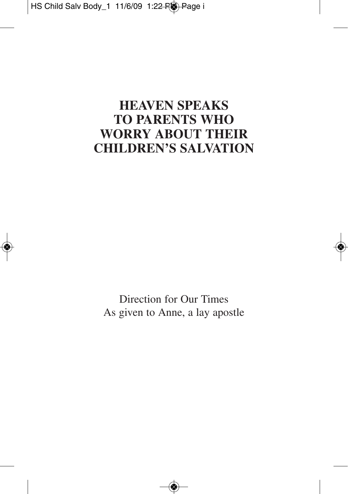### **HEAVEN SPEAKS TO PARENTS WHO WORRY ABOUT THEIR CHILDREN'S SALVATION**

Direction for Our Times As given to Anne, a lay apostle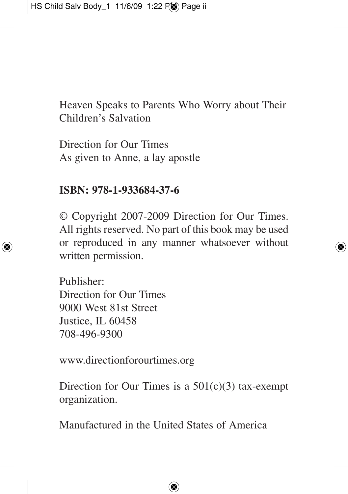Heaven Speaks to Parents Who Worry about Their Children's Salvation

Direction for Our Times As given to Anne, a lay apostle

#### **ISBN: 978-1-933684-37-6**

© Copyright 2007-2009 Direction for Our Times. All rights reserved. No part of this book may be used or reproduced in any manner whatsoever without written permission.

Publisher: Direction for Our Times 9000 West 81st Street Justice, IL 60458 708-496-9300

www.directionforourtimes.org

Direction for Our Times is a  $501(c)(3)$  tax-exempt organization.

Manufactured in the United States of America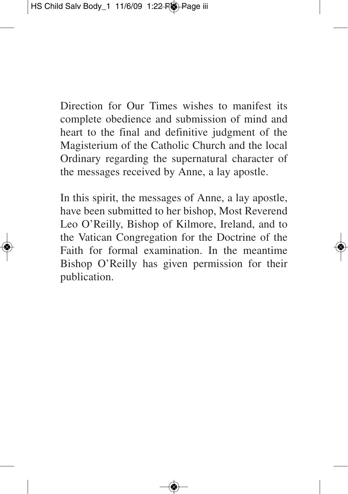Direction for Our Times wishes to manifest its complete obedience and submission of mind and heart to the final and definitive judgment of the Magisterium of the Catholic Church and the local Ordinary regarding the supernatural character of the messages received by Anne, a lay apostle.

In this spirit, the messages of Anne, a lay apostle, have been submitted to her bishop, Most Reverend Leo O'Reilly, Bishop of Kilmore, Ireland, and to the Vatican Congregation for the Doctrine of the Faith for formal examination. In the meantime Bishop O'Reilly has given permission for their publication.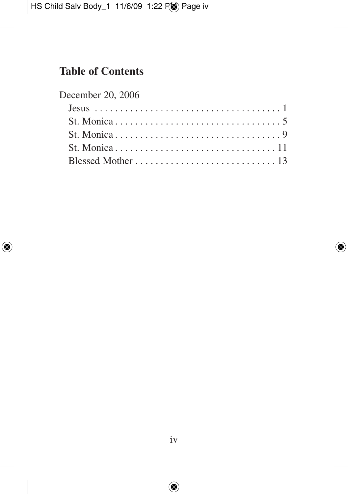#### **Table of Contents**

| December 20, 2006 |  |  |  |  |  |  |  |  |
|-------------------|--|--|--|--|--|--|--|--|
|                   |  |  |  |  |  |  |  |  |
|                   |  |  |  |  |  |  |  |  |
|                   |  |  |  |  |  |  |  |  |
|                   |  |  |  |  |  |  |  |  |
|                   |  |  |  |  |  |  |  |  |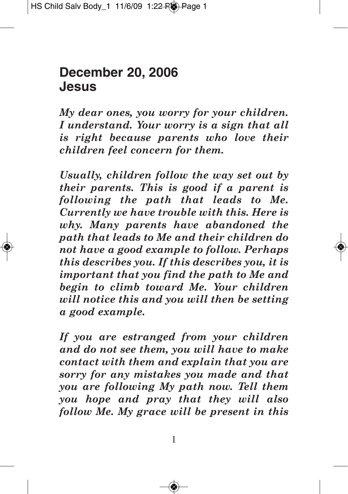## **December 20, 2006 Jesus**

*My dear ones, you worry for your children. I understand. Your worry is a sign that all is right because parents who love their children feel concern for them.*

*Usually, children follow the way set out by their parents. This is good if a parent is following the path that leads to Me. Currently we have trouble with this. Here is why. Many parents have abandoned the path that leads to Me and their children do not have a good example to follow. Perhaps this describes you. If this describes you, it is important that you find the path to Me and begin to climb toward Me. Your children will notice this and you will then be setting a good example.*

*If you are estranged from your children and do not see them, you will have to make contact with them and explain that you are sorry for any mistakes you made and that you are following My path now. Tell them you hope and pray that they will also follow Me. My grace will be present in this*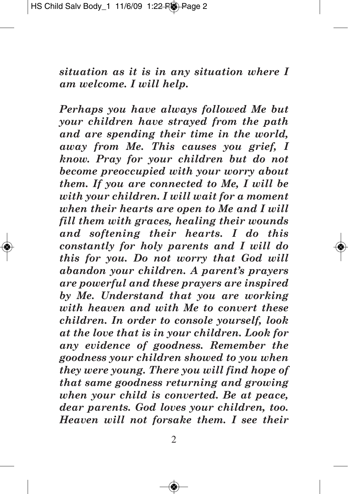*situation as it is in any situation where I am welcome. I will help.*

*Perhaps you have always followed Me but your children have strayed from the path and are spending their time in the world, away from Me. This causes you grief, I know. Pray for your children but do not become preoccupied with your worry about them. If you are connected to Me, I will be with your children. I will wait for a moment when their hearts are open to Me and I will fill them with graces, healing their wounds and softening their hearts. I do this constantly for holy parents and I will do this for you. Do not worry that God will abandon your children. A parent's prayers are powerful and these prayers are inspired by Me. Understand that you are working with heaven and with Me to convert these children. In order to console yourself, look at the love that is in your children. Look for any evidence of goodness. Remember the goodness your children showed to you when they were young. There you will find hope of that same goodness returning and growing when your child is converted. Be at peace, dear parents. God loves your children, too. Heaven will not forsake them. I see their*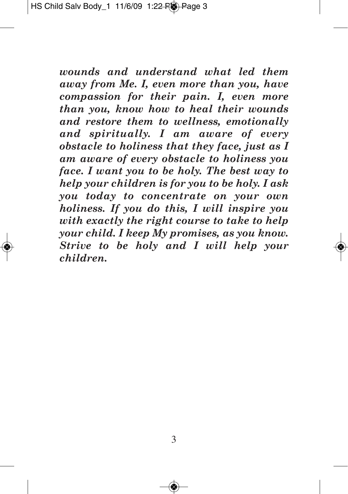*wounds and understand what led them away from Me. I, even more than you, have compassion for their pain. I, even more than you, know how to heal their wounds and restore them to wellness, emotionally and spiritually. I am aware of every obstacle to holiness that they face, just as I am aware of every obstacle to holiness you face. I want you to be holy. The best way to help your children is for you to be holy. I ask you today to concentrate on your own holiness. If you do this, I will inspire you with exactly the right course to take to help your child. I keep My promises, as you know. Strive to be holy and I will help your children.*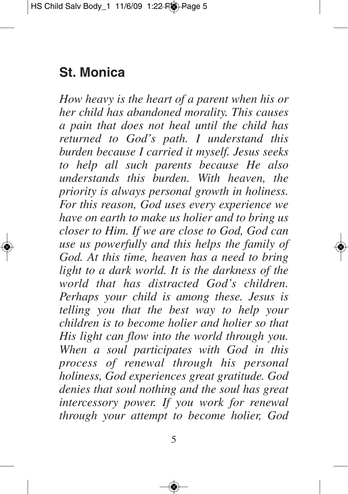# **St. Monica**

*How heavy is the heart of a parent when his or her child has abandoned morality. This causes a pain that does not heal until the child has returned to God's path. I understand this burden because I carried it myself. Jesus seeks to help all such parents because He also understands this burden. With heaven, the priority is always personal growth in holiness. For this reason, God uses every experience we have on earth to make us holier and to bring us closer to Him. If we are close to God, God can use us powerfully and this helps the family of God. At this time, heaven has a need to bring light to a dark world. It is the darkness of the world that has distracted God's children. Perhaps your child is among these. Jesus is telling you that the best way to help your children is to become holier and holier so that His light can flow into the world through you. When a soul participates with God in this process of renewal through his personal holiness, God experiences great gratitude. God denies that soul nothing and the soul has great intercessory power. If you work for renewal through your attempt to become holier, God*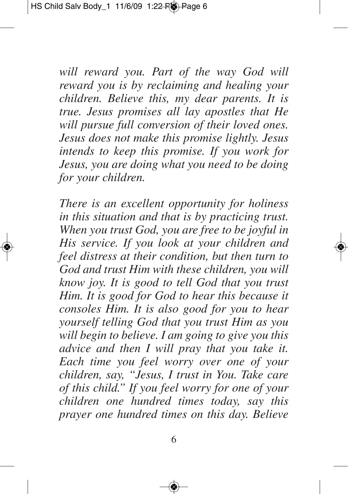*will reward you. Part of the way God will reward you is by reclaiming and healing your children. Believe this, my dear parents. It is true. Jesus promises all lay apostles that He will pursue full conversion of their loved ones. Jesus does not make this promise lightly. Jesus intends to keep this promise. If you work for Jesus, you are doing what you need to be doing for your children.*

*There is an excellent opportunity for holiness in this situation and that is by practicing trust. When you trust God, you are free to be joyful in His service. If you look at your children and feel distress at their condition, but then turn to God and trust Him with these children, you will know joy. It is good to tell God that you trust Him. It is good for God to hear this because it consoles Him. It is also good for you to hear yourself telling God that you trust Him as you will begin to believe. I am going to give you this advice and then I will pray that you take it. Each time you feel worry over one of your children, say, "Jesus, I trust in You. Take care of this child." If you feel worry for one of your children one hundred times today, say this prayer one hundred times on this day. Believe*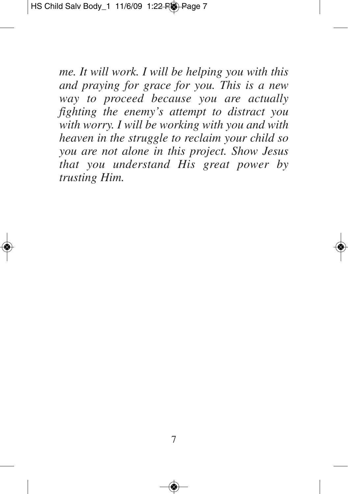*me. It will work. I will be helping you with this and praying for grace for you. This is a new way to proceed because you are actually fighting the enemy's attempt to distract you with worry. I will be working with you and with heaven in the struggle to reclaim your child so you are not alone in this project. Show Jesus that you understand His great power by trusting Him.*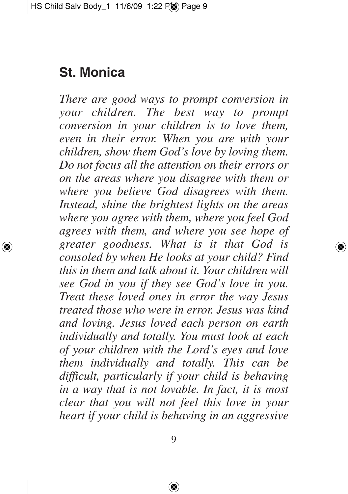# **St. Monica**

*There are good ways to prompt conversion in your children. The best way to prompt conversion in your children is to love them, even in their error. When you are with your children, show them God's love by loving them. Do not focus all the attention on their errors or on the areas where you disagree with them or where you believe God disagrees with them. Instead, shine the brightest lights on the areas where you agree with them, where you feel God agrees with them, and where you see hope of greater goodness. What is it that God is consoled by when He looks at your child? Find this in them and talk about it. Your children will see God in you if they see God's love in you. Treat these loved ones in error the way Jesus treated those who were in error. Jesus was kind and loving. Jesus loved each person on earth individually and totally. You must look at each of your children with the Lord's eyes and love them individually and totally. This can be difficult, particularly if your child is behaving in a way that is not lovable. In fact, it is most clear that you will not feel this love in your heart if your child is behaving in an aggressive*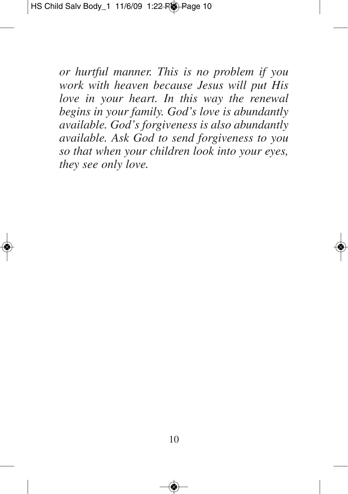*or hurtful manner. This is no problem if you work with heaven because Jesus will put His love in your heart. In this way the renewal begins in your family. God's love is abundantly available. God's forgiveness is also abundantly available. Ask God to send forgiveness to you so that when your children look into your eyes, they see only love.*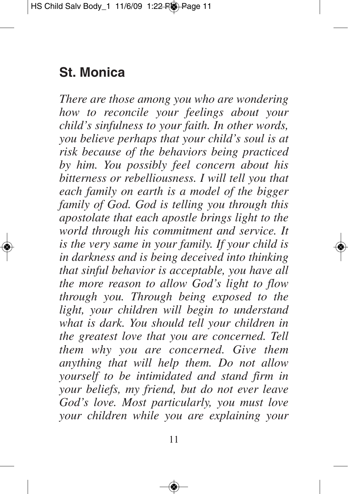# **St. Monica**

*There are those among you who are wondering how to reconcile your feelings about your child's sinfulness to your faith. In other words, you believe perhaps that your child's soul is at risk because of the behaviors being practiced by him. You possibly feel concern about his bitterness or rebelliousness. I will tell you that each family on earth is a model of the bigger family of God. God is telling you through this apostolate that each apostle brings light to the world through his commitment and service. It is the very same in your family. If your child is in darkness and is being deceived into thinking that sinful behavior is acceptable, you have all the more reason to allow God's light to flow through you. Through being exposed to the light, your children will begin to understand what is dark. You should tell your children in the greatest love that you are concerned. Tell them why you are concerned. Give them anything that will help them. Do not allow yourself to be intimidated and stand firm in your beliefs, my friend, but do not ever leave God's love. Most particularly, you must love your children while you are explaining your*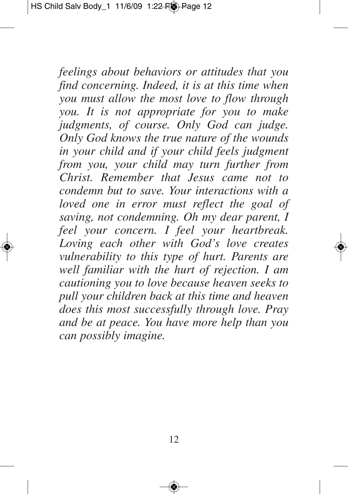*feelings about behaviors or attitudes that you find concerning. Indeed, it is at this time when you must allow the most love to flow through you. It is not appropriate for you to make judgments, of course. Only God can judge. Only God knows the true nature of the wounds in your child and if your child feels judgment from you, your child may turn further from Christ. Remember that Jesus came not to condemn but to save. Your interactions with a loved one in error must reflect the goal of saving, not condemning. Oh my dear parent, I feel your concern. I feel your heartbreak. Loving each other with God's love creates vulnerability to this type of hurt. Parents are well familiar with the hurt of rejection. I am cautioning you to love because heaven seeks to pull your children back at this time and heaven does this most successfully through love. Pray and be at peace. You have more help than you can possibly imagine.*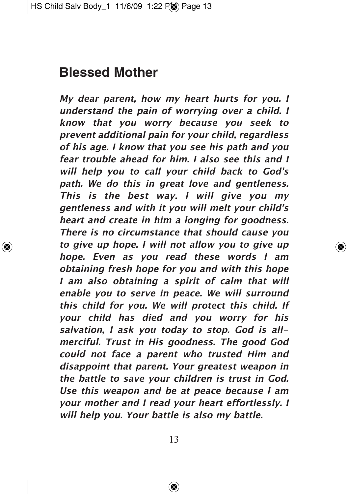# **Blessed Mother**

**My dear parent, how my heart hurts for you. I understand the pain of worrying over <sup>a</sup> child. I know that you worry because you seek to prevent additional pain for your child, regardless of his age. I know that you see his path and you fear trouble ahead for him. I also see this and I will help you to call your child back to God's path. We do this in great love and gentleness. This is the best way. I will give you my gentleness and with it you will melt your child's heart and create in him <sup>a</sup> longing for goodness. There is no circumstance that should cause you to give up hope. I will not allow you to give up hope. Even as you read these words I am obtaining fresh hope for you and with this hope I am also obtaining <sup>a</sup> spirit of calm that will enable you to serve in peace. We will surround this child for you. We will protect this child. If your child has died and you worry for his salvation, I ask you today to stop. God is allmerciful. Trust in His goodness. The good God could not face <sup>a</sup> parent who trusted Him and disappoint that parent. Your greatest weapon in the battle to save your children is trust in God. Use this weapon and be at peace because I am your mother and I read your heart effortlessly. I will help you. Your battle is also my battle.**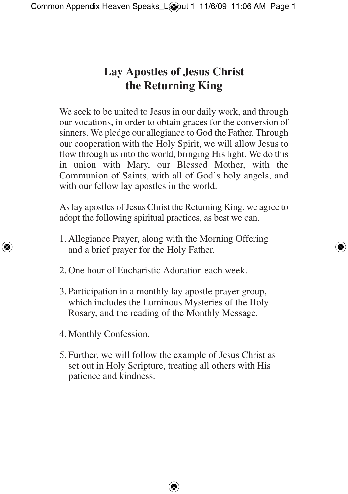#### **Lay Apostles of Jesus Christ the Returning King**

We seek to be united to Jesus in our daily work, and through our vocations, in order to obtain graces for the conversion of sinners. We pledge our allegiance to God the Father. Through our cooperation with the Holy Spirit, we will allow Jesus to flow through us into the world, bringing His light. We do this in union with Mary, our Blessed Mother, with the Communion of Saints, with all of God's holy angels, and with our fellow lay apostles in the world.

As lay apostles of Jesus Christ the Returning King, we agree to adopt the following spiritual practices, as best we can.

- 1. Allegiance Prayer, along with the Morning Offering and a brief prayer for the Holy Father.
- 2. One hour of Eucharistic Adoration each week.
- 3. Participation in a monthly lay apostle prayer group, which includes the Luminous Mysteries of the Holy Rosary, and the reading of the Monthly Message.
- 4. Monthly Confession.
- 5. Further, we will follow the example of Jesus Christ as set out in Holy Scripture, treating all others with His patience and kindness.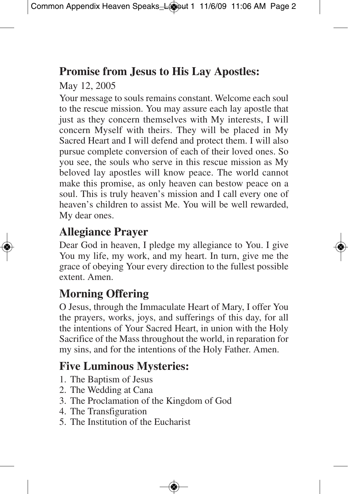### **Promise from Jesus to His Lay Apostles:**

May 12, 2005

Your message to souls remains constant. Welcome each soul to the rescue mission. You may assure each lay apostle that just as they concern themselves with My interests, I will concern Myself with theirs. They will be placed in My Sacred Heart and I will defend and protect them. I will also pursue complete conversion of each of their loved ones. So you see, the souls who serve in this rescue mission as My beloved lay apostles will know peace. The world cannot make this promise, as only heaven can bestow peace on a soul. This is truly heaven's mission and I call every one of heaven's children to assist Me. You will be well rewarded, My dear ones.

#### **Allegiance Prayer**

Dear God in heaven, I pledge my allegiance to You. I give You my life, my work, and my heart. In turn, give me the grace of obeying Your every direction to the fullest possible extent. Amen.

### **Morning Offering**

O Jesus, through the Immaculate Heart of Mary, I offer You the prayers, works, joys, and sufferings of this day, for all the intentions of Your Sacred Heart, in union with the Holy Sacrifice of the Mass throughout the world, in reparation for my sins, and for the intentions of the Holy Father. Amen.

## **Five Luminous Mysteries:**

- 1. The Baptism of Jesus
- 2. The Wedding at Cana
- 3. The Proclamation of the Kingdom of God
- 4. The Transfiguration
- 5. The Institution of the Eucharist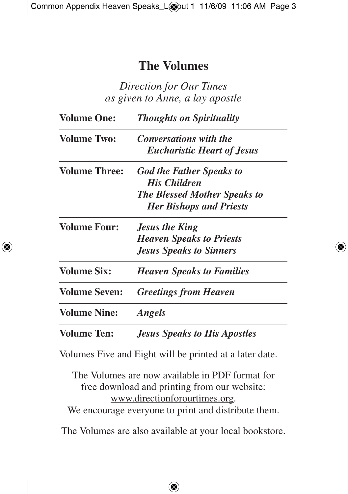#### **The Volumes**

*Direction for Our Times as given to Anne, a lay apostle*

| <b>Volume One:</b>   | <b>Thoughts on Spirituality</b>     |  |  |  |  |  |
|----------------------|-------------------------------------|--|--|--|--|--|
| <b>Volume Two:</b>   | <b>Conversations with the</b>       |  |  |  |  |  |
|                      | <b>Eucharistic Heart of Jesus</b>   |  |  |  |  |  |
| <b>Volume Three:</b> | <b>God the Father Speaks to</b>     |  |  |  |  |  |
|                      | <b>His Children</b>                 |  |  |  |  |  |
|                      | <b>The Blessed Mother Speaks to</b> |  |  |  |  |  |
|                      | <b>Her Bishops and Priests</b>      |  |  |  |  |  |
| <b>Volume Four:</b>  | <b>Jesus the King</b>               |  |  |  |  |  |
|                      | <b>Heaven Speaks to Priests</b>     |  |  |  |  |  |
|                      | <b>Jesus Speaks to Sinners</b>      |  |  |  |  |  |
| <b>Volume Six:</b>   | <b>Heaven Speaks to Families</b>    |  |  |  |  |  |
| <b>Volume Seven:</b> | <b>Greetings from Heaven</b>        |  |  |  |  |  |
| <b>Volume Nine:</b>  | <b>Angels</b>                       |  |  |  |  |  |
| <b>Volume Ten:</b>   | <b>Jesus Speaks to His Apostles</b> |  |  |  |  |  |

Volumes Five and Eight will be printed at a later date.

The Volumes are now available in PDF format for free download and printing from our website: www.directionforourtimes.org. We encourage everyone to print and distribute them.

The Volumes are also available at your local bookstore.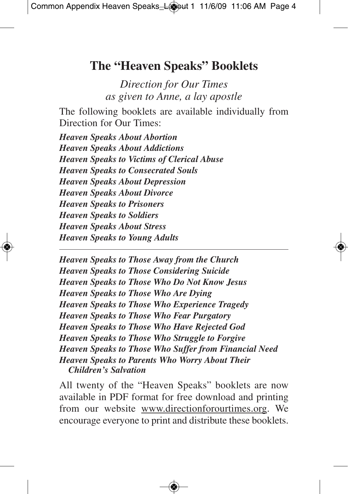#### **The "Heaven Speaks" Booklets**

*Direction for Our Times as given to Anne, a lay apostle*

The following booklets are available individually from Direction for Our Times:

*Heaven Speaks About Abortion Heaven Speaks About Addictions Heaven Speaks to Victims of Clerical Abuse Heaven Speaks to Consecrated Souls Heaven Speaks About Depression Heaven Speaks About Divorce Heaven Speaks to Prisoners Heaven Speaks to Soldiers Heaven Speaks About Stress Heaven Speaks to Young Adults*

*Heaven Speaks to Those Away from the Church Heaven Speaks to Those Considering Suicide Heaven Speaks to Those Who Do Not Know Jesus Heaven Speaks to Those Who Are Dying Heaven Speaks to Those Who Experience Tragedy Heaven Speaks to Those Who Fear Purgatory Heaven Speaks to Those Who Have Rejected God Heaven Speaks to Those Who Struggle to Forgive Heaven Speaks to Those Who Suffer from Financial Need Heaven Speaks to Parents Who Worry About Their Children's Salvation*

All twenty of the "Heaven Speaks" booklets are now available in PDF format for free download and printing from our website www.directionforourtimes.org. We encourage everyone to print and distribute these booklets.